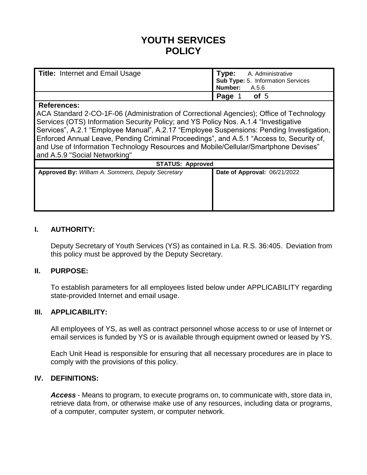# **YOUTH SERVICES POLICY**

| <b>Title: Internet and Email Usage</b> | <b>Type:</b> A. Administrative<br>Sub Type: 5. Information Services<br>Number: A.5.6 |
|----------------------------------------|--------------------------------------------------------------------------------------|
|                                        | Page 1<br>of 5                                                                       |

#### **References:**

ACA Standard 2-CO-1F-06 (Administration of Correctional Agencies); Office of Technology Services (OTS) Information Security Policy; and YS Policy Nos. A.1.4 "Investigative Services", A.2.1 "Employee Manual", A.2.17 "Employee Suspensions: Pending Investigation, Enforced Annual Leave, Pending Criminal Proceedings", and A.5.1 "Access to, Security of, and Use of Information Technology Resources and Mobile/Cellular/Smartphone Devises" and A.5.9 "Social Networking"

| <b>STATUS: Approved</b>      |  |  |
|------------------------------|--|--|
| Date of Approval: 06/21/2022 |  |  |
|                              |  |  |
|                              |  |  |
|                              |  |  |
|                              |  |  |
|                              |  |  |
|                              |  |  |

#### **I. AUTHORITY:**

Deputy Secretary of Youth Services (YS) as contained in La. R.S. 36:405. Deviation from this policy must be approved by the Deputy Secretary.

#### **II. PURPOSE:**

To establish parameters for all employees listed below under APPLICABILITY regarding state-provided Internet and email usage.

#### **III. APPLICABILITY:**

All employees of YS, as well as contract personnel whose access to or use of Internet or email services is funded by YS or is available through equipment owned or leased by YS.

Each Unit Head is responsible for ensuring that all necessary procedures are in place to comply with the provisions of this policy.

#### **IV. DEFINITIONS:**

*Access* - Means to program, to execute programs on, to communicate with, store data in, retrieve data from, or otherwise make use of any resources, including data or programs, of a computer, computer system, or computer network.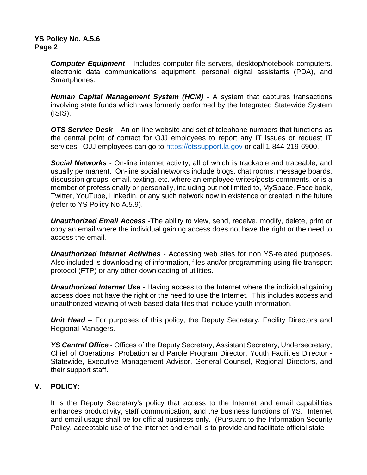*Computer Equipment* - Includes computer file servers, desktop/notebook computers, electronic data communications equipment, personal digital assistants (PDA), and Smartphones.

*Human Capital Management System (HCM)* - A system that captures transactions involving state funds which was formerly performed by the Integrated Statewide System (ISIS).

*OTS Service Desk* – An on-line website and set of telephone numbers that functions as the central point of contact for OJJ employees to report any IT issues or request IT services. OJJ employees can go to [https://otssupport.la.gov](https://otssupport.la.gov/) or call 1-844-219-6900.

*Social Networks* - On-line internet activity, all of which is trackable and traceable, and usually permanent. On-line social networks include blogs, chat rooms, message boards, discussion groups, email, texting, etc. where an employee writes/posts comments, or is a member of professionally or personally, including but not limited to, MySpace, Face book, Twitter, YouTube, Linkedin, or any such network now in existence or created in the future (refer to YS Policy No A.5.9).

*Unauthorized Email Access* -The ability to view, send, receive, modify, delete, print or copy an email where the individual gaining access does not have the right or the need to access the email.

*Unauthorized Internet Activities* - Accessing web sites for non YS-related purposes. Also included is downloading of information, files and/or programming using file transport protocol (FTP) or any other downloading of utilities.

*Unauthorized Internet Use* - Having access to the Internet where the individual gaining access does not have the right or the need to use the Internet. This includes access and unauthorized viewing of web-based data files that include youth information.

*Unit Head* – For purposes of this policy, the Deputy Secretary, Facility Directors and Regional Managers.

*YS Central Office* - Offices of the Deputy Secretary, Assistant Secretary, Undersecretary, Chief of Operations, Probation and Parole Program Director, Youth Facilities Director - Statewide, Executive Management Advisor, General Counsel, Regional Directors, and their support staff.

## **V. POLICY:**

It is the Deputy Secretary's policy that access to the Internet and email capabilities enhances productivity, staff communication, and the business functions of YS. Internet and email usage shall be for official business only. (Pursuant to the Information Security Policy, acceptable use of the internet and email is to provide and facilitate official state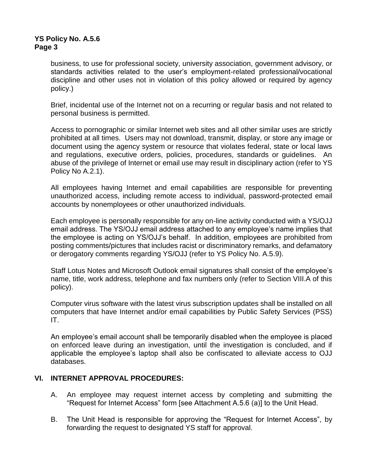business, to use for professional society, university association, government advisory, or standards activities related to the user's employment-related professional/vocational discipline and other uses not in violation of this policy allowed or required by agency policy.)

Brief, incidental use of the Internet not on a recurring or regular basis and not related to personal business is permitted.

Access to pornographic or similar Internet web sites and all other similar uses are strictly prohibited at all times. Users may not download, transmit, display, or store any image or document using the agency system or resource that violates federal, state or local laws and regulations, executive orders, policies, procedures, standards or guidelines. An abuse of the privilege of Internet or email use may result in disciplinary action (refer to YS Policy No A.2.1).

All employees having Internet and email capabilities are responsible for preventing unauthorized access, including remote access to individual, password-protected email accounts by nonemployees or other unauthorized individuals.

Each employee is personally responsible for any on-line activity conducted with a YS/OJJ email address. The YS/OJJ email address attached to any employee's name implies that the employee is acting on YS/OJJ's behalf. In addition, employees are prohibited from posting comments/pictures that includes racist or discriminatory remarks, and defamatory or derogatory comments regarding YS/OJJ (refer to YS Policy No. A.5.9).

Staff Lotus Notes and Microsoft Outlook email signatures shall consist of the employee's name, title, work address, telephone and fax numbers only (refer to Section VIII.A of this policy).

Computer virus software with the latest virus subscription updates shall be installed on all computers that have Internet and/or email capabilities by Public Safety Services (PSS) IT.

An employee's email account shall be temporarily disabled when the employee is placed on enforced leave during an investigation, until the investigation is concluded, and if applicable the employee's laptop shall also be confiscated to alleviate access to OJJ databases.

#### **VI. INTERNET APPROVAL PROCEDURES:**

- A. An employee may request internet access by completing and submitting the "Request for Internet Access" form [see Attachment A.5.6 (a)] to the Unit Head.
- B. The Unit Head is responsible for approving the "Request for Internet Access", by forwarding the request to designated YS staff for approval.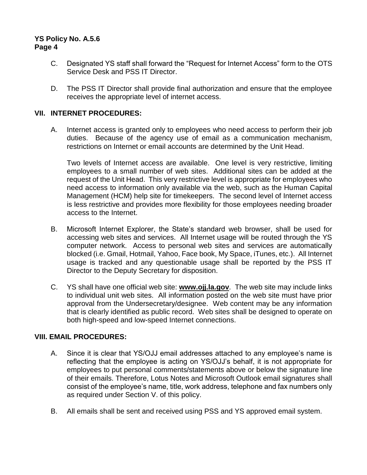- C. Designated YS staff shall forward the "Request for Internet Access" form to the OTS Service Desk and PSS IT Director.
- D. The PSS IT Director shall provide final authorization and ensure that the employee receives the appropriate level of internet access.

#### **VII. INTERNET PROCEDURES:**

A. Internet access is granted only to employees who need access to perform their job duties. Because of the agency use of email as a communication mechanism, restrictions on Internet or email accounts are determined by the Unit Head.

Two levels of Internet access are available. One level is very restrictive, limiting employees to a small number of web sites. Additional sites can be added at the request of the Unit Head. This very restrictive level is appropriate for employees who need access to information only available via the web, such as the Human Capital Management (HCM) help site for timekeepers. The second level of Internet access is less restrictive and provides more flexibility for those employees needing broader access to the Internet.

- B. Microsoft Internet Explorer, the State's standard web browser, shall be used for accessing web sites and services. All Internet usage will be routed through the YS computer network. Access to personal web sites and services are automatically blocked (i.e. Gmail, Hotmail, Yahoo, Face book, My Space, iTunes, etc.). All Internet usage is tracked and any questionable usage shall be reported by the PSS IT Director to the Deputy Secretary for disposition.
- C. YS shall have one official web site: **www.ojj.la.gov**. The web site may include links to individual unit web sites. All information posted on the web site must have prior approval from the Undersecretary/designee. Web content may be any information that is clearly identified as public record. Web sites shall be designed to operate on both high-speed and low-speed Internet connections.

#### **VIII. EMAIL PROCEDURES:**

- A. Since it is clear that YS/OJJ email addresses attached to any employee's name is reflecting that the employee is acting on YS/OJJ's behalf, it is not appropriate for employees to put personal comments/statements above or below the signature line of their emails. Therefore, Lotus Notes and Microsoft Outlook email signatures shall consist of the employee's name, title, work address, telephone and fax numbers only as required under Section V. of this policy.
- B. All emails shall be sent and received using PSS and YS approved email system.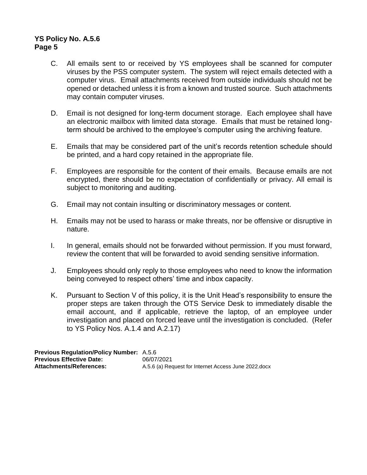- C. All emails sent to or received by YS employees shall be scanned for computer viruses by the PSS computer system. The system will reject emails detected with a computer virus. Email attachments received from outside individuals should not be opened or detached unless it is from a known and trusted source. Such attachments may contain computer viruses.
- D. Email is not designed for long-term document storage. Each employee shall have an electronic mailbox with limited data storage. Emails that must be retained longterm should be archived to the employee's computer using the archiving feature.
- E. Emails that may be considered part of the unit's records retention schedule should be printed, and a hard copy retained in the appropriate file.
- F. Employees are responsible for the content of their emails. Because emails are not encrypted, there should be no expectation of confidentially or privacy. All email is subject to monitoring and auditing.
- G. Email may not contain insulting or discriminatory messages or content.
- H. Emails may not be used to harass or make threats, nor be offensive or disruptive in nature.
- I. In general, emails should not be forwarded without permission. If you must forward, review the content that will be forwarded to avoid sending sensitive information.
- J. Employees should only reply to those employees who need to know the information being conveyed to respect others' time and inbox capacity.
- K. Pursuant to Section V of this policy, it is the Unit Head's responsibility to ensure the proper steps are taken through the OTS Service Desk to immediately disable the email account, and if applicable, retrieve the laptop, of an employee under investigation and placed on forced leave until the investigation is concluded. (Refer to YS Policy Nos. A.1.4 and A.2.17)

**Previous Regulation/Policy Number:** A.5.6 **Previous Effective Date:** 06/07/2021<br> **Attachments/References:** A.5.6 (a) Rec A.5.6 (a) Request for Internet Access June 2022.docx